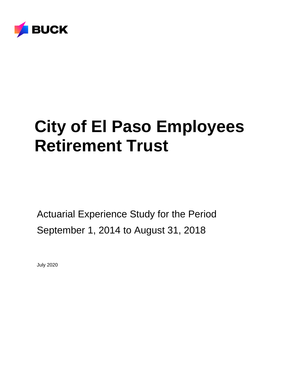

# **City of El Paso Employees Retirement Trust**

Actuarial Experience Study for the Period September 1, 2014 to August 31, 2018

July 2020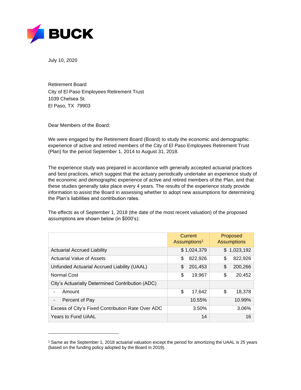

July 10, 2020

Retirement Board City of El Paso Employees Retirement Trust 1039 Chelsea St. El Paso, TX 79903

Dear Members of the Board:

We were engaged by the Retirement Board (Board) to study the economic and demographic experience of active and retired members of the City of El Paso Employees Retirement Trust (Plan) for the period September 1, 2014 to August 31, 2018.

The experience study was prepared in accordance with generally accepted actuarial practices and best practices, which suggest that the actuary periodically undertake an experience study of the economic and demographic experience of active and retired members of the Plan, and that these studies generally take place every 4 years. The results of the experience study provide information to assist the Board in assessing whether to adopt new assumptions for determining the Plan's liabilities and contribution rates.

The effects as of September 1, 2018 (the date of the most recent valuation) of the proposed assumptions are shown below (in \$000's):

|                                                   | Current<br>Assumptions <sup>1</sup> | <b>Proposed</b><br><b>Assumptions</b> |
|---------------------------------------------------|-------------------------------------|---------------------------------------|
| <b>Actuarial Accrued Liability</b>                | \$1,024,379                         | \$1,023,192                           |
| Actuarial Value of Assets                         | 822,926<br>\$                       | \$<br>822,926                         |
| Unfunded Actuarial Accrued Liability (UAAL)       | 201,453<br>S                        | \$<br>200,266                         |
| Normal Cost                                       | \$<br>19,967                        | \$<br>20,452                          |
| City's Actuarially Determined Contribution (ADC)  |                                     |                                       |
| Amount                                            | \$<br>17,642                        | \$<br>18,378                          |
| Percent of Pay<br>-                               | 10.55%                              | 10.99%                                |
| Excess of City's Fixed Contribution Rate Over ADC | 3.50%                               | 3.06%                                 |
| <b>Years to Fund UAAL</b>                         | 14                                  | 16                                    |

<sup>1</sup> Same as the September 1, 2018 actuarial valuation except the period for amortizing the UAAL is 25 years (based on the funding policy adopted by the Board in 2019).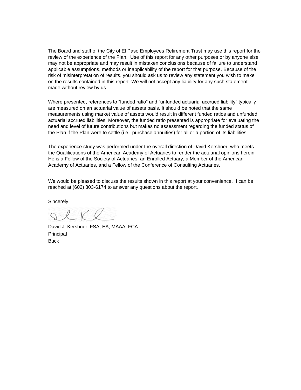The Board and staff of the City of El Paso Employees Retirement Trust may use this report for the review of the experience of the Plan. Use of this report for any other purposes or by anyone else may not be appropriate and may result in mistaken conclusions because of failure to understand applicable assumptions, methods or inapplicability of the report for that purpose. Because of the risk of misinterpretation of results, you should ask us to review any statement you wish to make on the results contained in this report. We will not accept any liability for any such statement made without review by us.

Where presented, references to "funded ratio" and "unfunded actuarial accrued liability" typically are measured on an actuarial value of assets basis. It should be noted that the same measurements using market value of assets would result in different funded ratios and unfunded actuarial accrued liabilities. Moreover, the funded ratio presented is appropriate for evaluating the need and level of future contributions but makes no assessment regarding the funded status of the Plan if the Plan were to settle (i.e., purchase annuities) for all or a portion of its liabilities.

The experience study was performed under the overall direction of David Kershner, who meets the Qualifications of the American Academy of Actuaries to render the actuarial opinions herein. He is a Fellow of the Society of Actuaries, an Enrolled Actuary, a Member of the American Academy of Actuaries, and a Fellow of the Conference of Consulting Actuaries.

We would be pleased to discuss the results shown in this report at your convenience. I can be reached at (602) 803-6174 to answer any questions about the report.

Sincerely,

SCKR

David J. Kershner, FSA, EA, MAAA, FCA **Principal Buck**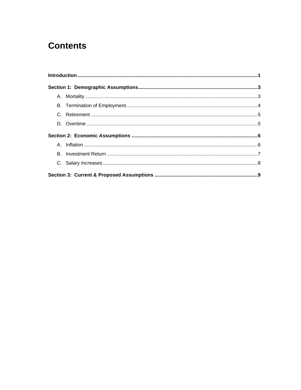# **Contents**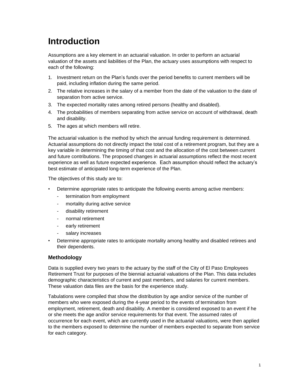# <span id="page-4-0"></span>**Introduction**

Assumptions are a key element in an actuarial valuation. In order to perform an actuarial valuation of the assets and liabilities of the Plan, the actuary uses assumptions with respect to each of the following:

- 1. Investment return on the Plan's funds over the period benefits to current members will be paid, including inflation during the same period.
- 2. The relative increases in the salary of a member from the date of the valuation to the date of separation from active service.
- 3. The expected mortality rates among retired persons (healthy and disabled).
- 4. The probabilities of members separating from active service on account of withdrawal, death and disability.
- 5. The ages at which members will retire.

The actuarial valuation is the method by which the annual funding requirement is determined. Actuarial assumptions do not directly impact the total cost of a retirement program, but they are a key variable in determining the timing of that cost and the allocation of the cost between current and future contributions. The proposed changes in actuarial assumptions reflect the most recent experience as well as future expected experience. Each assumption should reflect the actuary's best estimate of anticipated long-term experience of the Plan.

The objectives of this study are to:

- Determine appropriate rates to anticipate the following events among active members:
	- termination from employment
	- mortality during active service
	- disability retirement
	- normal retirement
	- early retirement
	- salary increases
- Determine appropriate rates to anticipate mortality among healthy and disabled retirees and their dependents.

#### **Methodology**

Data is supplied every two years to the actuary by the staff of the City of El Paso Employees Retirement Trust for purposes of the biennial actuarial valuations of the Plan. This data includes demographic characteristics of current and past members, and salaries for current members. These valuation data files are the basis for the experience study.

Tabulations were compiled that show the distribution by age and/or service of the number of members who were exposed during the 4-year period to the events of termination from employment, retirement, death and disability. A member is considered exposed to an event if he or she meets the age and/or service requirements for that event. The assumed rates of occurrence for each event, which are currently used in the actuarial valuations, were then applied to the members exposed to determine the number of members expected to separate from service for each category.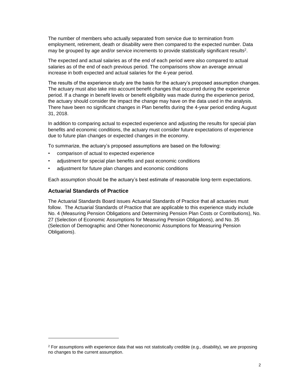The number of members who actually separated from service due to termination from employment, retirement, death or disability were then compared to the expected number. Data may be grouped by age and/or service increments to provide statistically significant results<sup>2</sup>.

The expected and actual salaries as of the end of each period were also compared to actual salaries as of the end of each previous period. The comparisons show an average annual increase in both expected and actual salaries for the 4-year period.

The results of the experience study are the basis for the actuary's proposed assumption changes. The actuary must also take into account benefit changes that occurred during the experience period. If a change in benefit levels or benefit eligibility was made during the experience period, the actuary should consider the impact the change may have on the data used in the analysis. There have been no significant changes in Plan benefits during the 4-year period ending August 31, 2018.

In addition to comparing actual to expected experience and adjusting the results for special plan benefits and economic conditions, the actuary must consider future expectations of experience due to future plan changes or expected changes in the economy.

To summarize, the actuary's proposed assumptions are based on the following:

- comparison of actual to expected experience
- adjustment for special plan benefits and past economic conditions
- adjustment for future plan changes and economic conditions

Each assumption should be the actuary's best estimate of reasonable long-term expectations.

#### **Actuarial Standards of Practice**

<span id="page-5-0"></span>The Actuarial Standards Board issues Actuarial Standards of Practice that all actuaries must follow. The Actuarial Standards of Practice that are applicable to this experience study include No. 4 (Measuring Pension Obligations and Determining Pension Plan Costs or Contributions), No. 27 (Selection of Economic Assumptions for Measuring Pension Obligations), and No. 35 (Selection of Demographic and Other Noneconomic Assumptions for Measuring Pension Obligations).

 $2$  For assumptions with experience data that was not statistically credible (e.g., disability), we are proposing no changes to the current assumption.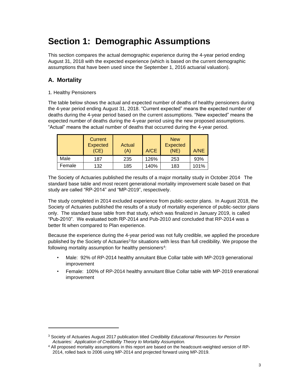# **Section 1: Demographic Assumptions**

This section compares the actual demographic experience during the 4-year period ending August 31, 2018 with the expected experience (which is based on the current demographic assumptions that have been used since the September 1, 2016 actuarial valuation).

# <span id="page-6-0"></span>**A. Mortality**

#### 1. Healthy Pensioners

The table below shows the actual and expected number of deaths of healthy pensioners during the 4-year period ending August 31, 2018. "Current expected" means the expected number of deaths during the 4-year period based on the current assumptions. "New expected" means the expected number of deaths during the 4-year period using the new proposed assumptions. "Actual" means the actual number of deaths that occurred during the 4-year period.

|        | Current<br><b>Expected</b><br>(CE) | Actual<br>(A) | A/CE | <b>New</b><br><b>Expected</b><br>(NE) | A/NE |
|--------|------------------------------------|---------------|------|---------------------------------------|------|
| Male   | 187                                | 235           | 126% | 253                                   | 93%  |
| Female | 132                                | 185           | 140% | 183                                   | 101% |

The Society of Actuaries published the results of a major mortality study in October 2014. The standard base table and most recent generational mortality improvement scale based on that study are called "RP-2014" and "MP-2019", respectively.

The study completed in 2014 excluded experience from public-sector plans. In August 2018, the Society of Actuaries published the results of a study of mortality experience of public-sector plans only. The standard base table from that study, which was finalized in January 2019, is called "Pub-2010". We evaluated both RP-2014 and Pub-2010 and concluded that RP-2014 was a better fit when compared to Plan experience.

Because the experience during the 4-year period was not fully credible, we applied the procedure published by the Society of Actuaries<sup>3</sup> for situations with less than full credibility. We propose the following mortality assumption for healthy pensioners<sup>4</sup>:

- Male: 92% of RP-2014 healthy annuitant Blue Collar table with MP-2019 generational improvement
- Female: 100% of RP-2014 healthy annuitant Blue Collar table with MP-2019 enerational improvement

<sup>3</sup> Society of Actuaries August 2017 publication titled *Credibility Educational Resources for Pension Actuaries: Application of Credibility Theory to Mortality Assumption.*

<sup>4</sup> All proposed mortality assumptions in this report are based on the headcount-weighted version of RP-2014, rolled back to 2006 using MP-2014 and projected forward using MP-2019.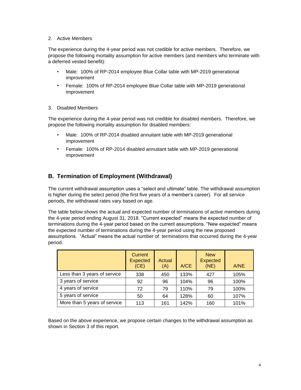#### 2. Active Members

The experience during the 4-year period was not credible for active members. Therefore, we propose the following mortality assumption for active members (and members who terminate with a deferred vested benefit):

- Male: 100% of RP-2014 employee Blue Collar table with MP-2019 generational improvement
- Female: 100% of RP-2014 employee Blue Collar table with MP-2019 generational improvement
- 3. Disabled Members

The experience during the 4-year period was not credible for disabled members. Therefore, we propose the following mortality assumption for disabled members:

- Male: 100% of RP-2014 disabled annuitant table with MP-2019 generational improvement
- Female: 100% of RP-2014 disabled annuitant table with MP-2019 generational improvement

## <span id="page-7-0"></span>**B. Termination of Employment (Withdrawal)**

The current withdrawal assumption uses a "select and ultimate" table. The withdrawal assumption is higher during the select period (the first five years of a member's career). For all service periods, the withdrawal rates vary based on age.

The table below shows the actual and expected number of terminations of active members during the 4-year period ending August 31, 2018. "Current expected" means the expected number of terminations during the 4-year period based on the current assumptions. "New expected" means the expected number of terminations during the 4-year period using the new proposed assumptions. "Actual" means the actual number of terminations that occurred during the 4-year period.

|                              | <b>Current</b><br><b>Expected</b><br>(CE) | Actual<br>(A) | A/CE | <b>New</b><br>Expected<br>(NE) | A/NE |
|------------------------------|-------------------------------------------|---------------|------|--------------------------------|------|
| Less than 3 years of service | 338                                       | 450           | 133% | 427                            | 105% |
| 3 years of service           | 92                                        | 96            | 104% | 96                             | 100% |
| 4 years of service           | 72                                        | 79            | 110% | 79                             | 100% |
| 5 years of service           | 50                                        | 64            | 128% | 60                             | 107% |
| More than 5 years of service | 113                                       | 161           | 142% | 160                            | 101% |

Based on the above experience, we propose certain changes to the withdrawal assumption as shown in Section 3 of this report.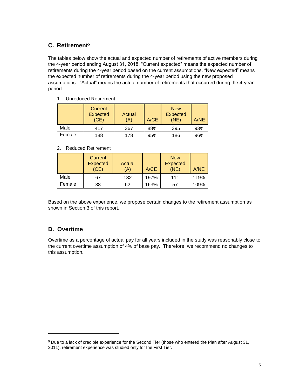# <span id="page-8-0"></span>**C. Retirement<sup>5</sup>**

The tables below show the actual and expected number of retirements of active members during the 4-year period ending August 31, 2018. "Current expected" means the expected number of retirements during the 4-year period based on the current assumptions. "New expected" means the expected number of retirements during the 4-year period using the new proposed assumptions. "Actual" means the actual number of retirements that occurred during the 4-year period.

1. Unreduced Retirement

|        | Current<br><b>Expected</b><br>(CE) | Actual<br>(A) | A/CE | <b>New</b><br><b>Expected</b><br>(NE) | A/NE |
|--------|------------------------------------|---------------|------|---------------------------------------|------|
| Male   | 417                                | 367           | 88%  | 395                                   | 93%  |
| Female | 188                                | 178           | 95%  | 186                                   | 96%  |

#### 2. Reduced Retirement

|        | Current<br><b>Expected</b><br>(CE) | Actual<br>(A) | A/CE | <b>New</b><br><b>Expected</b><br>(NE) | A/NE |
|--------|------------------------------------|---------------|------|---------------------------------------|------|
| Male   | 67                                 | 132           | 197% | 111                                   | 119% |
| Female | 38                                 | 62            | 163% | 57                                    | 109% |

Based on the above experience, we propose certain changes to the retirement assumption as shown in Section 3 of this report.

## **D. Overtime**

Overtime as a percentage of actual pay for all years included in the study was reasonably close to the current overtime assumption of 4% of base pay. Therefore, we recommend no changes to this assumption.

<sup>5</sup> Due to a lack of credible experience for the Second Tier (those who entered the Plan after August 31, 2011), retirement experience was studied only for the First Tier.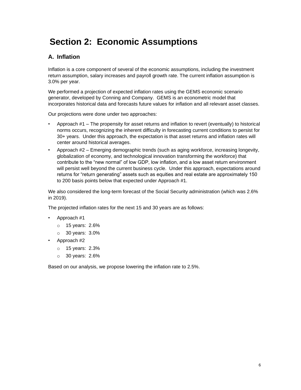# <span id="page-9-0"></span>**Section 2: Economic Assumptions**

# <span id="page-9-1"></span>**A. Inflation**

Inflation is a core component of several of the economic assumptions, including the investment return assumption, salary increases and payroll growth rate. The current inflation assumption is 3.0% per year.

We performed a projection of expected inflation rates using the GEMS economic scenario generator, developed by Conning and Company. GEMS is an econometric model that incorporates historical data and forecasts future values for inflation and all relevant asset classes.

Our projections were done under two approaches:

- Approach #1 The propensity for asset returns and inflation to revert (eventually) to historical norms occurs, recognizing the inherent difficulty in forecasting current conditions to persist for 30+ years. Under this approach, the expectation is that asset returns and inflation rates will center around historical averages.
- Approach #2 Emerging demographic trends (such as aging workforce, increasing longevity, globalization of economy, and technological innovation transforming the workforce) that contribute to the "new normal" of low GDP, low inflation, and a low asset return environment will persist well beyond the current business cycle. Under this approach, expectations around returns for "return generating" assets such as equities and real estate are approximately 150 to 200 basis points below that expected under Approach #1.

We also considered the long-term forecast of the Social Security administration (which was 2.6% in 2019).

The projected inflation rates for the next 15 and 30 years are as follows:

- Approach #1
	- o 15 years: 2.6%
	- o 30 years: 3.0%
- Approach #2
	- o 15 years: 2.3%
	- o 30 years: 2.6%

Based on our analysis, we propose lowering the inflation rate to 2.5%.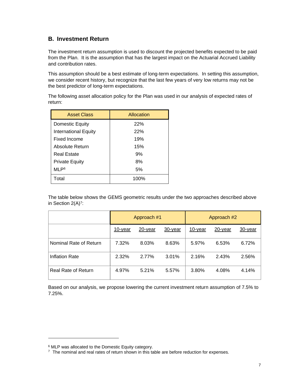## <span id="page-10-0"></span>**B. Investment Return**

The investment return assumption is used to discount the projected benefits expected to be paid from the Plan. It is the assumption that has the largest impact on the Actuarial Accrued Liability and contribution rates.

This assumption should be a best estimate of long-term expectations. In setting this assumption, we consider recent history, but recognize that the last few years of very low returns may not be the best predictor of long-term expectations.

The following asset allocation policy for the Plan was used in our analysis of expected rates of return:

| <b>Asset Class</b>          | Allocation |
|-----------------------------|------------|
| Domestic Equity             | 22%        |
| <b>International Equity</b> | 22%        |
| Fixed Income                | 19%        |
| Absolute Return             | 15%        |
| Real Estate                 | 9%         |
| <b>Private Equity</b>       | 8%         |
| MLP <sup>6</sup>            | 5%         |
| Total                       | 100%       |

The table below shows the GEMS geometric results under the two approaches described above in Section 2(A)<sup>7</sup>:

|                        | Approach #1 |            |            | Approach #2 |         |         |
|------------------------|-------------|------------|------------|-------------|---------|---------|
|                        | 10-year     | $20$ -year | $30$ -year | 10-year     | 20-year | 30-year |
| Nominal Rate of Return | 7.32%       | 8.03%      | 8.63%      | 5.97%       | 6.53%   | 6.72%   |
| <b>Inflation Rate</b>  | 2.32%       | 2.77%      | 3.01%      | 2.16%       | 2.43%   | 2.56%   |
| Real Rate of Return    | 4.97%       | 5.21%      | 5.57%      | 3.80%       | 4.08%   | 4.14%   |

<span id="page-10-1"></span>Based on our analysis, we propose lowering the current investment return assumption of 7.5% to 7.25%.

<sup>6</sup> MLP was allocated to the Domestic Equity category.

 $7$  The nominal and real rates of return shown in this table are before reduction for expenses.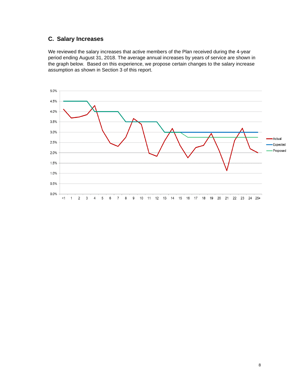# **C. Salary Increases**

We reviewed the salary increases that active members of the Plan received during the 4-year period ending August 31, 2018. The average annual increases by years of service are shown in the graph below. Based on this experience, we propose certain changes to the salary increase assumption as shown in Section 3 of this report.

<span id="page-11-0"></span>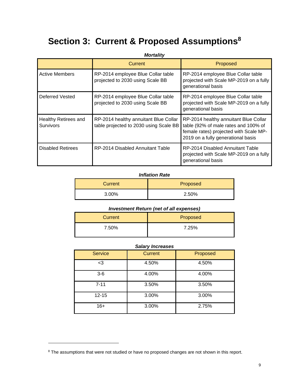# **Section 3: Current & Proposed Assumptions<sup>8</sup>**

|                                                 | <b>Mortality</b>                                                                |                                                                                                                                                               |
|-------------------------------------------------|---------------------------------------------------------------------------------|---------------------------------------------------------------------------------------------------------------------------------------------------------------|
|                                                 | <b>Current</b>                                                                  | Proposed                                                                                                                                                      |
| <b>Active Members</b>                           | RP-2014 employee Blue Collar table<br>projected to 2030 using Scale BB          | RP-2014 employee Blue Collar table<br>projected with Scale MP-2019 on a fully<br>generational basis                                                           |
| Deferred Vested                                 | RP-2014 employee Blue Collar table<br>projected to 2030 using Scale BB          | RP-2014 employee Blue Collar table<br>projected with Scale MP-2019 on a fully<br>generational basis                                                           |
| <b>Healthy Retirees and</b><br><b>Survivors</b> | RP-2014 healthy annuitant Blue Collar<br>table projected to 2030 using Scale BB | RP-2014 healthy annuitant Blue Collar<br>table (92% of male rates and 100% of<br>female rates) projected with Scale MP-<br>2019 on a fully generational basis |
| <b>Disabled Retirees</b>                        | RP-2014 Disabled Annuitant Table                                                | RP-2014 Disabled Annuitant Table<br>projected with Scale MP-2019 on a fully<br>generational basis                                                             |

#### *Inflation Rate*

| Current | Proposed |
|---------|----------|
| 3.00%   | 2.50%    |

| <b>Investment Return (net of all expenses)</b> |          |  |  |  |
|------------------------------------------------|----------|--|--|--|
| Current                                        | Proposed |  |  |  |
| 7.50%                                          | 7.25%    |  |  |  |

### *Salary Increases*

| <b>Service</b> | <b>Current</b> | Proposed |
|----------------|----------------|----------|
| $3$            | 4.50%          | 4.50%    |
| $3-6$          | 4.00%          | 4.00%    |
| $7 - 11$       | 3.50%          | 3.50%    |
| $12 - 15$      | 3.00%          | 3.00%    |
| $16+$          | 3.00%          | 2.75%    |

<sup>&</sup>lt;sup>8</sup> The assumptions that were not studied or have no proposed changes are not shown in this report.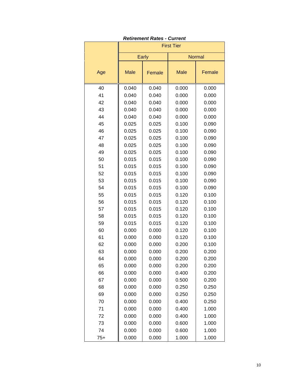|       | <b>First Tier</b> |        |               |        |  |
|-------|-------------------|--------|---------------|--------|--|
|       | Early             |        | <b>Normal</b> |        |  |
| Age   | <b>Male</b>       | Female | <b>Male</b>   | Female |  |
| 40    | 0.040             | 0.040  | 0.000         | 0.000  |  |
| 41    | 0.040             | 0.040  | 0.000         | 0.000  |  |
| 42    | 0.040             | 0.040  | 0.000         | 0.000  |  |
| 43    | 0.040             | 0.040  | 0.000         | 0.000  |  |
| 44    | 0.040             | 0.040  | 0.000         | 0.000  |  |
| 45    | 0.025             | 0.025  | 0.100         | 0.090  |  |
| 46    | 0.025             | 0.025  | 0.100         | 0.090  |  |
| 47    | 0.025             | 0.025  | 0.100         | 0.090  |  |
| 48    | 0.025             | 0.025  | 0.100         | 0.090  |  |
| 49    | 0.025             | 0.025  | 0.100         | 0.090  |  |
| 50    | 0.015             | 0.015  | 0.100         | 0.090  |  |
| 51    | 0.015             | 0.015  | 0.100         | 0.090  |  |
| 52    | 0.015             | 0.015  | 0.100         | 0.090  |  |
| 53    | 0.015             | 0.015  | 0.100         | 0.090  |  |
| 54    | 0.015             | 0.015  | 0.100         | 0.090  |  |
| 55    | 0.015             | 0.015  | 0.120         | 0.100  |  |
| 56    | 0.015             | 0.015  | 0.120         | 0.100  |  |
| 57    | 0.015             | 0.015  | 0.120         | 0.100  |  |
| 58    | 0.015             | 0.015  | 0.120         | 0.100  |  |
| 59    | 0.015             | 0.015  | 0.120         | 0.100  |  |
| 60    | 0.000             | 0.000  | 0.120         | 0.100  |  |
| 61    | 0.000             | 0.000  | 0.120         | 0.100  |  |
| 62    | 0.000             | 0.000  | 0.200         | 0.100  |  |
| 63    | 0.000             | 0.000  | 0.200         | 0.200  |  |
| 64    | 0.000             | 0.000  | 0.200         | 0.200  |  |
| 65    | 0.000             | 0.000  | 0.200         | 0.200  |  |
| 66    | 0.000             | 0.000  | 0.400         | 0.200  |  |
| 67    | 0.000             | 0.000  | 0.500         | 0.200  |  |
| 68    | 0.000             | 0.000  | 0.250         | 0.250  |  |
| 69    | 0.000             | 0.000  | 0.250         | 0.250  |  |
| 70    | 0.000             | 0.000  | 0.400         | 0.250  |  |
| 71    | 0.000             | 0.000  | 0.400         | 1.000  |  |
| 72    | 0.000             | 0.000  | 0.400         | 1.000  |  |
| 73    | 0.000             | 0.000  | 0.600         | 1.000  |  |
| 74    | 0.000             | 0.000  | 0.600         | 1.000  |  |
| $75+$ | 0.000             | 0.000  | 1.000         | 1.000  |  |

| <b>Retirement Rates - Current</b> |  |  |
|-----------------------------------|--|--|
|-----------------------------------|--|--|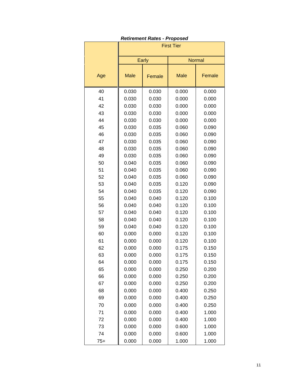|       | <b>First Tier</b>     |       |             |               |  |
|-------|-----------------------|-------|-------------|---------------|--|
|       | Early                 |       |             | <b>Normal</b> |  |
| Age   | <b>Male</b><br>Female |       | <b>Male</b> | Female        |  |
| 40    | 0.030                 | 0.030 | 0.000       | 0.000         |  |
| 41    | 0.030                 | 0.030 | 0.000       | 0.000         |  |
| 42    | 0.030                 | 0.030 | 0.000       | 0.000         |  |
| 43    | 0.030                 | 0.030 | 0.000       | 0.000         |  |
| 44    | 0.030                 | 0.030 | 0.000       | 0.000         |  |
| 45    | 0.030                 | 0.035 | 0.060       | 0.090         |  |
| 46    | 0.030                 | 0.035 | 0.060       | 0.090         |  |
| 47    | 0.030                 | 0.035 | 0.060       | 0.090         |  |
| 48    | 0.030                 | 0.035 | 0.060       | 0.090         |  |
| 49    | 0.030                 | 0.035 | 0.060       | 0.090         |  |
| 50    | 0.040                 | 0.035 | 0.060       | 0.090         |  |
| 51    | 0.040                 | 0.035 | 0.060       | 0.090         |  |
| 52    | 0.040                 | 0.035 | 0.060       | 0.090         |  |
| 53    | 0.040                 | 0.035 | 0.120       | 0.090         |  |
| 54    | 0.040                 | 0.035 | 0.120       | 0.090         |  |
| 55    | 0.040                 | 0.040 | 0.120       | 0.100         |  |
| 56    | 0.040                 | 0.040 | 0.120       | 0.100         |  |
| 57    | 0.040                 | 0.040 | 0.120       | 0.100         |  |
| 58    | 0.040                 | 0.040 | 0.120       | 0.100         |  |
| 59    | 0.040                 | 0.040 | 0.120       | 0.100         |  |
| 60    | 0.000                 | 0.000 | 0.120       | 0.100         |  |
| 61    | 0.000                 | 0.000 | 0.120       | 0.100         |  |
| 62    | 0.000                 | 0.000 | 0.175       | 0.150         |  |
| 63    | 0.000                 | 0.000 | 0.175       | 0.150         |  |
| 64    | 0.000                 | 0.000 | 0.175       | 0.150         |  |
| 65    | 0.000                 | 0.000 | 0.250       | 0.200         |  |
| 66    | 0.000                 | 0.000 | 0.250       | 0.200         |  |
| 67    | 0.000                 | 0.000 | 0.250       | 0.200         |  |
| 68    | 0.000                 | 0.000 | 0.400       | 0.250         |  |
| 69    | 0.000                 | 0.000 | 0.400       | 0.250         |  |
| 70    | 0.000                 | 0.000 | 0.400       | 0.250         |  |
| 71    | 0.000                 | 0.000 | 0.400       | 1.000         |  |
| 72    | 0.000                 | 0.000 | 0.400       | 1.000         |  |
| 73    | 0.000                 | 0.000 | 0.600       | 1.000         |  |
| 74    | 0.000                 | 0.000 | 0.600       | 1.000         |  |
| $75+$ | 0.000                 | 0.000 | 1.000       | 1.000         |  |

#### *Retirement Rates - Proposed*